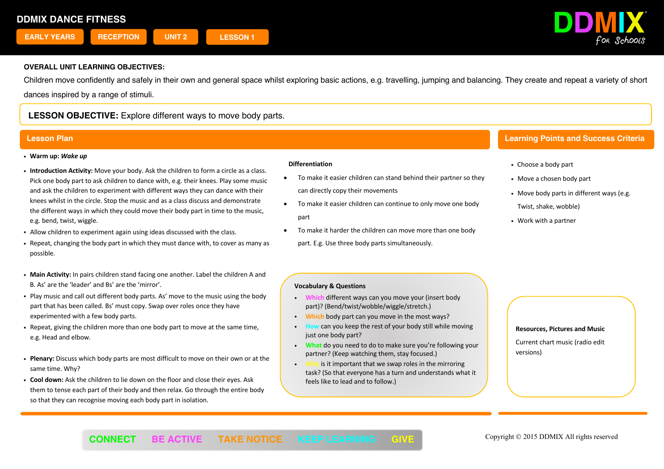

Children move confidently and safely in their own and general space whilst exploring basic actions, e.g. travelling, jumping and balancing. They create and repeat a variety of short dances inspired by a range of stimuli.

# **LESSON OBJECTIVE:** Explore different ways to move body parts.

- ! **Warm up:** *Wake up*
- ! **Introduction Activity:** Move your body. Ask the children to form a circle as a class. Pick one body part to ask children to dance with, e.g. their knees. Play some music and ask the children to experiment with different ways they can dance with their knees whilst in the circle. Stop the music and as a class discuss and demonstrate the different ways in which they could move their body part in time to the music, e.g. bend, twist, wiggle.
- ! Allow children to experiment again using ideas discussed with the class.
- ! Repeat, changing the body part in which they must dance with, to cover as many as possible.
- ! **Main Activity:** In pairs children stand facing one another. Label the children A and B. As' are the 'leader' and Bs' are the 'mirror'.
- ! Play music and call out different body parts. As' move to the music using the body part that has been called. Bs' must copy. Swap over roles once they have experimented with a few body parts.
- ! Repeat, giving the children more than one body part to move at the same time, e.g. Head and elbow.
- ! **Plenary:** Discuss which body parts are most difficult to move on their own or at the same time. Why?
- ! **Cool down:** Ask the children to lie down on the floor and close their eyes. Ask them to tense each part of their body and then relax. Go through the entire body so that they can recognise moving each body part in isolation.

### **Differentiation**

- To make it easier children can stand behind their partner so they can directly copy their movements
- To make it easier children can continue to only move one body part
- To make it harder the children can move more than one body part. E.g. Use three body parts simultaneously.

# **Lesson Plan Learning Points and Success Criteria**

- ! Choose a body part
- Move a chosen body part
- . Move body parts in different ways (e.g. Twist, shake, wobble)
- Work with a partner

### **Vocabulary & Questions**

- ! **Which** different ways can you move your (insert body part)? (Bend/twist/wobble/wiggle/stretch.)
- ! **Which** body part can you move in the most ways?
- can you keep the rest of your body still while moving just one body part?
- ! **What** do you need to do to make sure you're following your partner? (Keep watching them, stay focused.)
- is it important that we swap roles in the mirroring task? (So that everyone has a turn and understands what it feels like to lead and to follow.)

Ī

#### **Resources, Pictures and Music**

Current chart music (radio edit versions)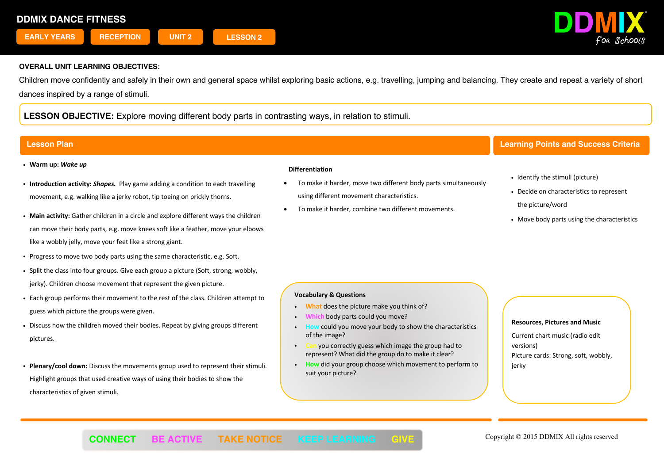

Children move confidently and safely in their own and general space whilst exploring basic actions, e.g. travelling, jumping and balancing. They create and repeat a variety of short dances inspired by a range of stimuli.

**LESSON OBJECTIVE:** Explore moving different body parts in contrasting ways, in relation to stimuli.

- ! **Warm up:** *Wake up*
- ! **Introduction activity:** *Shapes.* Play game adding a condition to each travelling movement, e.g. walking like a jerky robot, tip toeing on prickly thorns.
- ! **Main activity:** Gather children in a circle and explore different ways the children can move their body parts, e.g. move knees soft like a feather, move your elbows like a wobbly jelly, move your feet like a strong giant.
- . Progress to move two body parts using the same characteristic, e.g. Soft.
- ! Split the class into four groups. Give each group a picture (Soft, strong, wobbly, jerky). Children choose movement that represent the given picture.
- ! Each group performs their movement to the rest of the class. Children attempt to guess which picture the groups were given.
- ! Discuss how the children moved their bodies. Repeat by giving groups different pictures.
- ! **Plenary/cool down:** Discuss the movements group used to represent their stimuli. Highlight groups that used creative ways of using their bodies to show the characteristics of given stimuli.

### **Differentiation**

- To make it harder, move two different body parts simultaneously using different movement characteristics.
- To make it harder, combine two different movements.

## **Lesson Plan Learning Points and Success Criteria**

- Identify the stimuli (picture)
- Decide on characteristics to represent
	- the picture/word
- . Move body parts using the characteristics

#### **Vocabulary & Questions**

- ! **What** does the picture make you think of?
- body parts could you move?
- could you move your body to show the characteristics of the image?
- ! **Can** you correctly guess which image the group had to represent? What did the group do to make it clear?
- ! **How** did your group choose which movement to perform to suit your picture?

l

#### **Resources, Pictures and Music**

Current chart music (radio edit versions)

Picture cards: Strong, soft, wobbly, ierky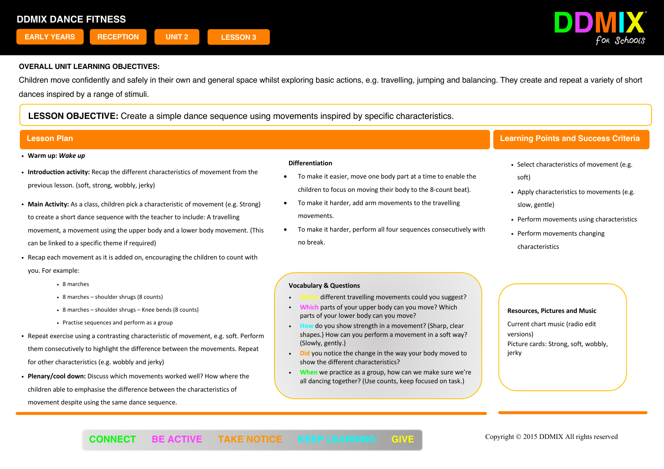

Children move confidently and safely in their own and general space whilst exploring basic actions, e.g. travelling, jumping and balancing. They create and repeat a variety of short dances inspired by a range of stimuli.

# **LESSON OBJECTIVE:** Create a simple dance sequence using movements inspired by specific characteristics.

- ! **Warm up:** *Wake up*
- ! **Introduction activity:** Recap the different characteristics of movement from the previous lesson. (soft, strong, wobbly, jerky)
- ! **Main Activity:** As a class, children pick a characteristic of movement (e.g. Strong) to create a short dance sequence with the teacher to include: A travelling movement, a movement using the upper body and a lower body movement. (This can be linked to a specific theme if required)
- ! Recap each movement as it is added on, encouraging the children to count with you. For example:
	- 8 marches
	- 8 marches shoulder shrugs (8 counts)
	- ! 8 marches shoulder shrugs Knee bends (8 counts)
	- Practise sequences and perform as a group
- ! Repeat exercise using a contrasting characteristic of movement, e.g. soft. Perform them consecutively to highlight the difference between the movements. Repeat for other characteristics (e.g. wobbly and jerky)
- ! **Plenary/cool down:** Discuss which movements worked well? How where the children able to emphasise the difference between the characteristics of movement despite using the same dance sequence.

#### **Differentiation**

- To make it easier, move one body part at a time to enable the children to focus on moving their body to the 8-count beat).
- To make it harder, add arm movements to the travelling movements.
- To make it harder, perform all four sequences consecutively with no break.

# **Lesson Plan Learning Points and Success Criteria**

- . Select characteristics of movement (e.g. soft)
- . Apply characteristics to movements (e.g. slow, gentle)
- Perform movements using characteristics
- Perform movements changing characteristics

### **Vocabulary & Questions**

- different travelling movements could you suggest?
- parts of your upper body can you move? Which parts of your lower body can you move?
- ! **How** do you show strength in a movement? (Sharp, clear shapes.) How can you perform a movement in a soft way? (Slowly, gently.)
- ! **Did** you notice the change in the way your body moved to show the different characteristics?
- ! **When** we practice as a group, how can we make sure we're all dancing together? (Use counts, keep focused on task.)

Ī

### **Resources, Pictures and Music**

Current chart music (radio edit versions) Picture cards: Strong, soft, wobbly, jerky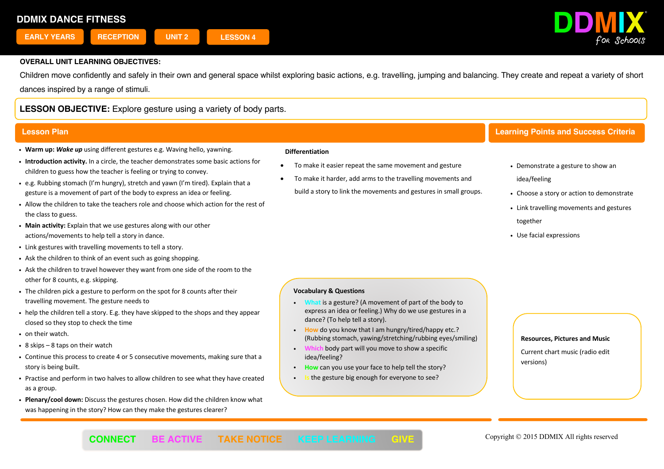

Children move confidently and safely in their own and general space whilst exploring basic actions, e.g. travelling, jumping and balancing. They create and repeat a variety of short dances inspired by a range of stimuli.

# **LESSON OBJECTIVE:** Explore gesture using a variety of body parts.

- ! **Warm up:** *Wake up* using different gestures e.g. Waving hello, yawning.
- ! **Introduction activity.** In a circle, the teacher demonstrates some basic actions for children to guess how the teacher is feeling or trying to convey.
- ! e.g. Rubbing stomach (I'm hungry), stretch and yawn (I'm tired). Explain that a gesture is a movement of part of the body to express an idea or feeling.
- ! Allow the children to take the teachers role and choose which action for the rest of the class to guess.
- ! **Main activity:** Explain that we use gestures along with our other actions/movements to help tell a story in dance.
- ! Link gestures with travelling movements to tell a story.
- . Ask the children to think of an event such as going shopping.
- ! Ask the children to travel however they want from one side of the room to the other for 8 counts, e.g. skipping.
- . The children pick a gesture to perform on the spot for 8 counts after their travelling movement. The gesture needs to
- ! help the children tell a story. E.g. they have skipped to the shops and they appear closed so they stop to check the time
- on their watch.
- $\cdot$  8 skips 8 taps on their watch
- ! Continue this process to create 4 or 5 consecutive movements, making sure that a story is being built.
- ! Practise and perform in two halves to allow children to see what they have created as a group.
- ! **Plenary/cool down:** Discuss the gestures chosen. How did the children know what was happening in the story? How can they make the gestures clearer?

#### **Differentiation**

- To make it easier repeat the same movement and gesture
- To make it harder, add arms to the travelling movements and build a story to link the movements and gestures in small groups.

# **Lesson Plan Learning Points and Success Criteria**

- Demonstrate a gesture to show an idea/feeling
- Choose a story or action to demonstrate
- Link travelling movements and gestures together
- Use facial expressions

### **Vocabulary & Questions**

- ! **What** is a gesture? (A movement of part of the body to express an idea or feeling.) Why do we use gestures in a dance? (To help tell a story).
- ! **How** do you know that I am hungry/tired/happy etc.? (Rubbing stomach, yawing/stretching/rubbing eyes/smiling)

l

- **body part will you move to show a specific** idea/feeling?
- How can you use your face to help tell the story?
- the gesture big enough for everyone to see?

#### **Resources, Pictures and Music**

Current chart music (radio edit versions)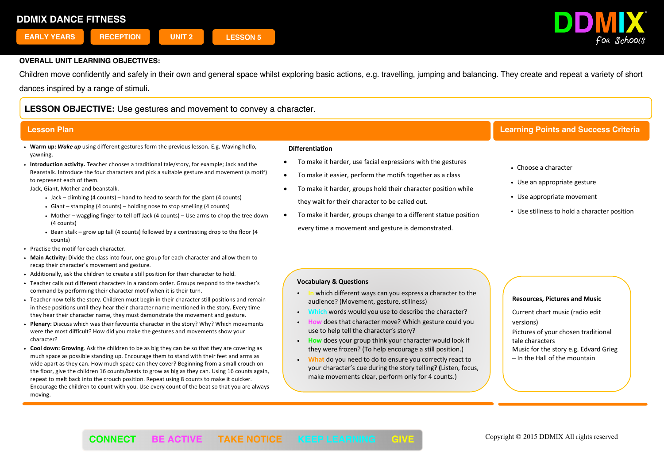

Children move confidently and safely in their own and general space whilst exploring basic actions, e.g. travelling, jumping and balancing. They create and repeat a variety of short dances inspired by a range of stimuli.

# **LESSON OBJECTIVE:** Use gestures and movement to convey a character.

- ! **Warm up:** *Wake up* using different gestures form the previous lesson. E.g. Waving hello, yawning.
- ! **Introduction activity.** Teacher chooses a traditional tale/story, for example; Jack and the Beanstalk. Introduce the four characters and pick a suitable gesture and movement (a motif) to represent each of them.

Jack, Giant, Mother and beanstalk.

- $\bullet$  Jack climbing (4 counts) hand to head to search for the giant (4 counts)
- $\cdot$  Giant stamping (4 counts) holding nose to stop smelling (4 counts)
- ! Mother waggling finger to tell off Jack (4 counts) Use arms to chop the tree down (4 counts)
- . Bean stalk grow up tall (4 counts) followed by a contrasting drop to the floor (4 counts)
- Practise the motif for each character.
- ! **Main Activity:** Divide the class into four, one group for each character and allow them to recap their character's movement and gesture.
- ! Additionally, ask the children to create a still position for their character to hold.
- ! Teacher calls out different characters in a random order. Groups respond to the teacher's command by performing their character motif when it is their turn.
- . Teacher now tells the story. Children must begin in their character still positions and remain in these positions until they hear their character name mentioned in the story. Every time they hear their character name, they must demonstrate the movement and gesture.
- ! **Plenary:** Discuss which was their favourite character in the story? Why? Which movements were the most difficult? How did you make the gestures and movements show your character?
- ! **Cool down: Growing**. Ask the children to be as big they can be so that they are covering as much space as possible standing up. Encourage them to stand with their feet and arms as wide apart as they can. How much space can they cover? Beginning from a small crouch on the floor, give the children 16 counts/beats to grow as big as they can. Using 16 counts again, repeat to melt back into the crouch position. Repeat using 8 counts to make it quicker. Encourage the children to count with you. Use every count of the beat so that you are always moving.

#### **Differentiation**

- To make it harder, use facial expressions with the gestures
- To make it easier, perform the motifs together as a class
- To make it harder, groups hold their character position while they wait for their character to be called out.
- To make it harder, groups change to a different statue position every time a movement and gesture is demonstrated.

# **Lesson Plan Learning Points and Success Criteria**

- ! Choose a character
- Use an appropriate gesture
- Use appropriate movement
- Use stillness to hold a character position

## **Vocabulary & Questions**

- ! **In** which different ways can you express a character to the audience? (Movement, gesture, stillness)
- ! **Which** words would you use to describe the character?
- ! **How** does that character move? Which gesture could you use to help tell the character's story?
- ! **How** does your group think your character would look if they were frozen? (To help encourage a still position.)
- ! **What** do you need to do to ensure you correctly react to your character's cue during the story telling? **(**Listen, focus, make movements clear, perform only for 4 counts.)

### **Resources, Pictures and Music**

Current chart music (radio edit versions) Pictures of your chosen traditional tale characters Music for the story e.g. Edvard Grieg – In the Hall of the mountain